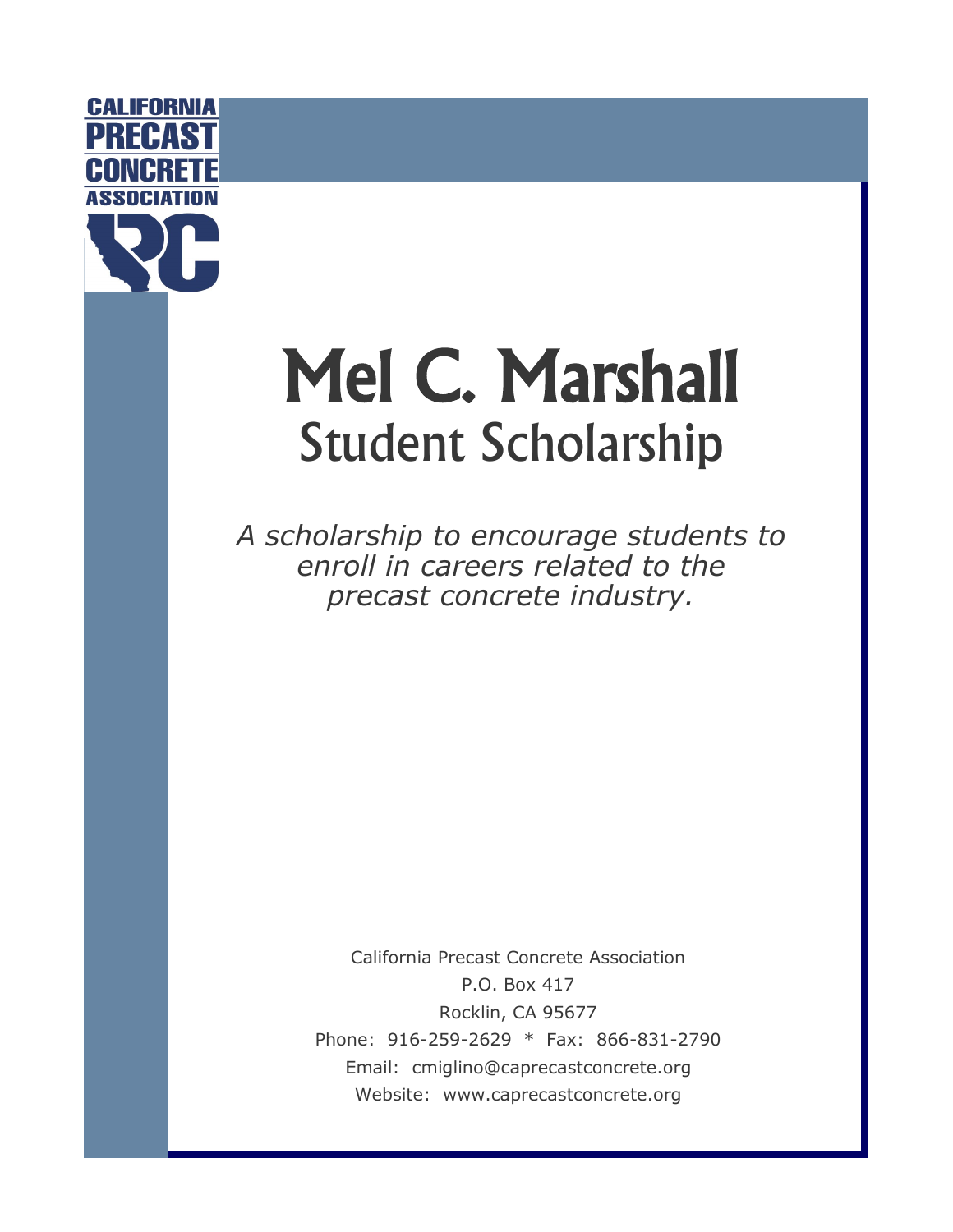

# Mel C. Marshall Student Scholarship

*A scholarship to encourage students to enroll in careers related to the precast concrete industry.*

> California Precast Concrete Association P.O. Box 417 Rocklin, CA 95677 Phone: 916-259-2629 \* Fax: 866-831-2790 Email: cmiglino@caprecastconcrete.org Website: www.caprecastconcrete.org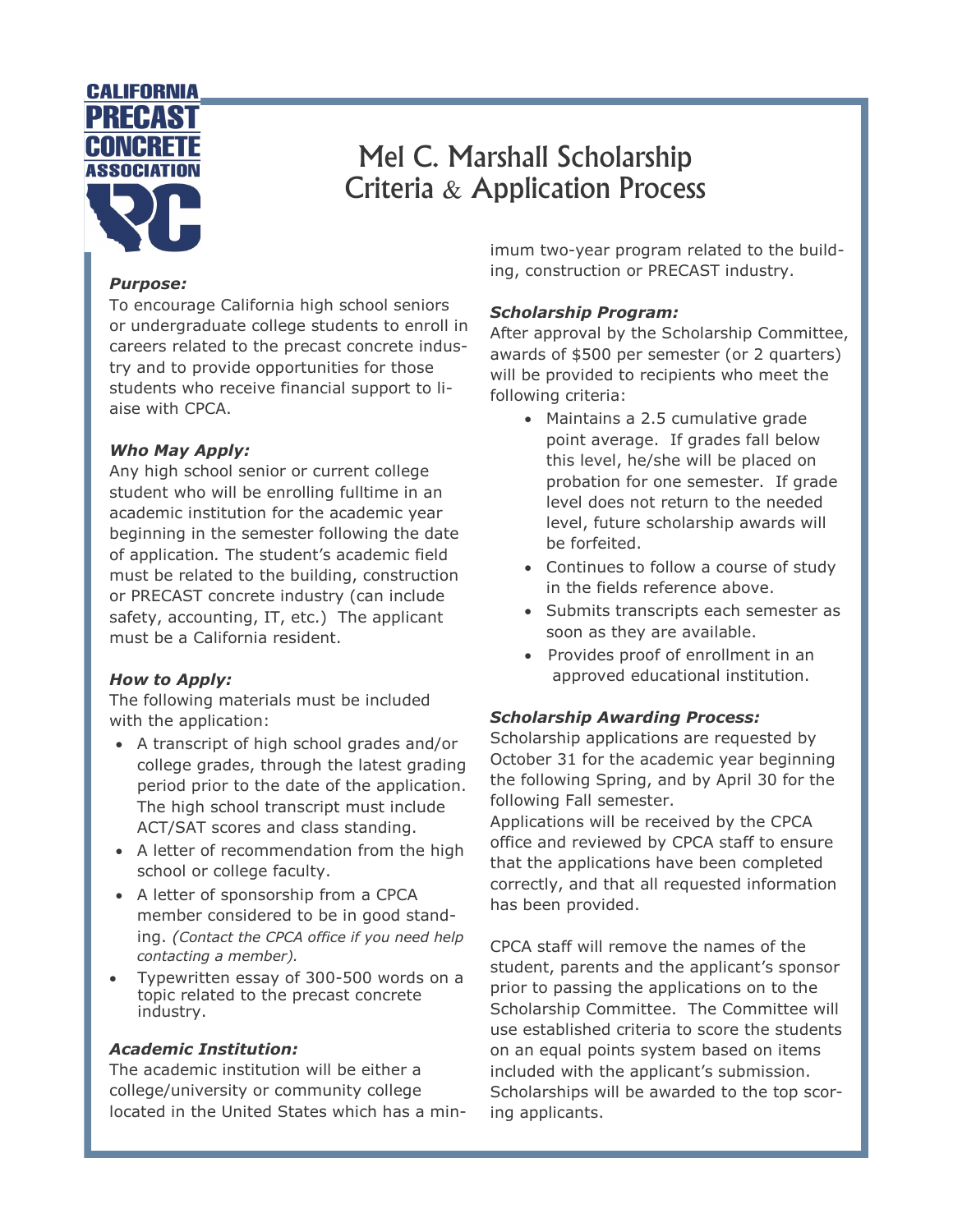

## Mel C. Marshall Scholarship Criteria & Application Process

#### *Purpose:*

To encourage California high school seniors or undergraduate college students to enroll in careers related to the precast concrete industry and to provide opportunities for those students who receive financial support to liaise with CPCA.

#### *Who May Apply:*

Any high school senior or current college student who will be enrolling fulltime in an academic institution for the academic year beginning in the semester following the date of application*.* The student's academic field must be related to the building, construction or PRECAST concrete industry (can include safety, accounting, IT, etc.) The applicant must be a California resident.

#### *How to Apply:*

The following materials must be included with the application:

- A transcript of high school grades and/or college grades, through the latest grading period prior to the date of the application. The high school transcript must include ACT/SAT scores and class standing.
- A letter of recommendation from the high school or college faculty.
- A letter of sponsorship from a CPCA member considered to be in good standing. *(Contact the CPCA office if you need help contacting a member).*
- Typewritten essay of 300-500 words on a topic related to the precast concrete industry.

#### *Academic Institution:*

The academic institution will be either a college/university or community college located in the United States which has a minimum two-year program related to the building, construction or PRECAST industry.

#### *Scholarship Program:*

After approval by the Scholarship Committee, awards of \$500 per semester (or 2 quarters) will be provided to recipients who meet the following criteria:

- Maintains a 2.5 cumulative grade point average. If grades fall below this level, he/she will be placed on probation for one semester. If grade level does not return to the needed level, future scholarship awards will be forfeited.
- Continues to follow a course of study in the fields reference above.
- Submits transcripts each semester as soon as they are available.
- Provides proof of enrollment in an approved educational institution.

#### *Scholarship Awarding Process:*

Scholarship applications are requested by October 31 for the academic year beginning the following Spring, and by April 30 for the following Fall semester.

Applications will be received by the CPCA office and reviewed by CPCA staff to ensure that the applications have been completed correctly, and that all requested information has been provided.

CPCA staff will remove the names of the student, parents and the applicant's sponsor prior to passing the applications on to the Scholarship Committee. The Committee will use established criteria to score the students on an equal points system based on items included with the applicant's submission. Scholarships will be awarded to the top scoring applicants.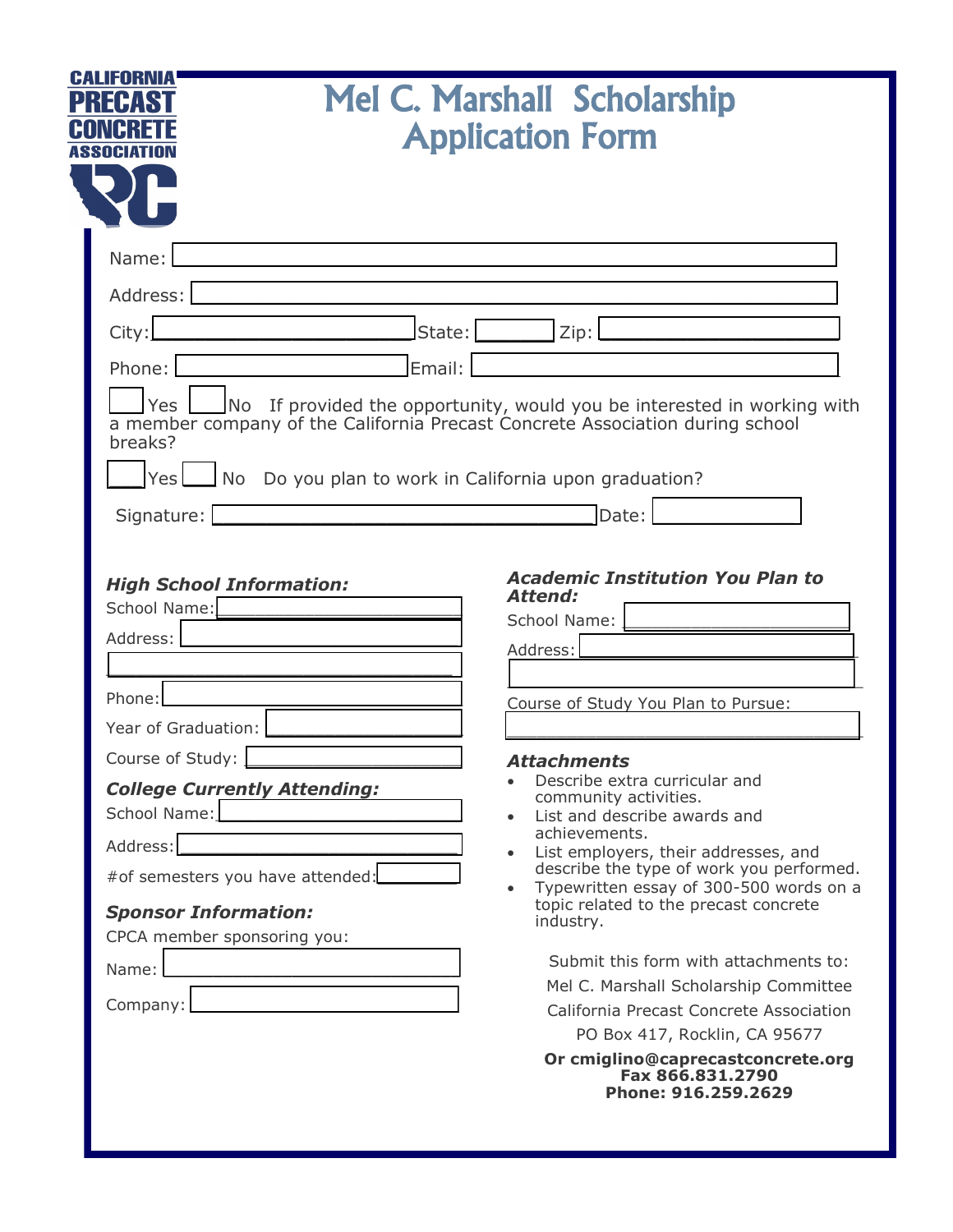| CALIFORNIA<br><b>Mel C. Marshall Scholarship</b><br><b>Application Form</b>                                                                                                                                                                                                                                                                                                                                                                                                                                                                                                                                                                                                                                                                                                                                                                                                                                                                                                                                                                                                                                                                                                                                                                                                                                                                                         |                                         |
|---------------------------------------------------------------------------------------------------------------------------------------------------------------------------------------------------------------------------------------------------------------------------------------------------------------------------------------------------------------------------------------------------------------------------------------------------------------------------------------------------------------------------------------------------------------------------------------------------------------------------------------------------------------------------------------------------------------------------------------------------------------------------------------------------------------------------------------------------------------------------------------------------------------------------------------------------------------------------------------------------------------------------------------------------------------------------------------------------------------------------------------------------------------------------------------------------------------------------------------------------------------------------------------------------------------------------------------------------------------------|-----------------------------------------|
| Name:<br>Address:  <br>State:<br>Zip:<br>City:<br>Email:<br>Phone:<br>Yes<br>No If provided the opportunity, would you be interested in working with<br>a member company of the California Precast Concrete Association during school<br>breaks?<br>$Yes$ No<br>Do you plan to work in California upon graduation?<br>Date:<br>Signature:<br><b>Academic Institution You Plan to</b><br><b>High School Information:</b><br><b>Attend:</b><br>School Name:<br>School Name:<br>Address:<br>Address:<br>Phone:<br>Course of Study You Plan to Pursue:<br>Year of Graduation:<br>Course of Study:<br><b>Attachments</b><br>Describe extra curricular and<br><b>College Currently Attending:</b><br>community activities.<br>School Name: New York 1999<br>List and describe awards and<br>achievements.<br>Address:<br>List employers, their addresses, and<br>$\bullet$<br>describe the type of work you performed.<br>#of semesters you have attended:<br><u></u><br>Typewritten essay of 300-500 words on a<br>$\bullet$<br>topic related to the precast concrete<br><b>Sponsor Information:</b><br>industry.<br>CPCA member sponsoring you:<br>Submit this form with attachments to:<br>Name:<br>Mel C. Marshall Scholarship Committee<br>Company:<br>California Precast Concrete Association<br>PO Box 417, Rocklin, CA 95677<br>Or cmiglino@caprecastconcrete.org |                                         |
|                                                                                                                                                                                                                                                                                                                                                                                                                                                                                                                                                                                                                                                                                                                                                                                                                                                                                                                                                                                                                                                                                                                                                                                                                                                                                                                                                                     | Fax 866.831.2790<br>Phone: 916.259.2629 |